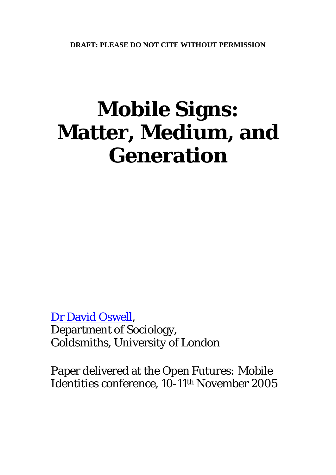# **Mobile Signs: Matter, Medium, and Generation**

[Dr David Oswell](mailto:d.oswell@gold.ac.uk?subject=Mobile%20Signs%20online%20paper), Department of Sociology, Goldsmiths, University of London

Paper delivered at the *Open Futures: Mobile Identities* conference, 10-11<sup>th</sup> November 2005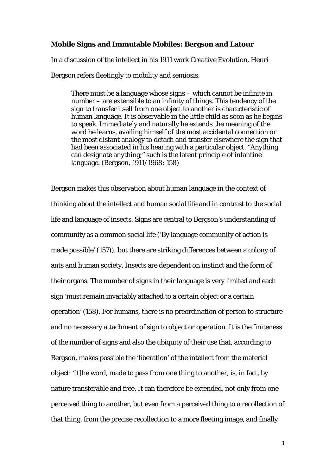### **Mobile Signs and Immutable Mobiles: Bergson and Latour**

In a discussion of the intellect in his 1911 work *Creative Evolution*, Henri Bergson refers fleetingly to mobility and semiosis:

There must be a language whose signs – which cannot be infinite in number – are extensible to an infinity of things. This tendency of the sign to transfer itself from one object to another is characteristic of human language. It is observable in the little child as soon as he begins to speak. Immediately and naturally he extends the meaning of the word he learns, availing himself of the most accidental connection or the most distant analogy to detach and transfer elsewhere the sign that had been associated in his hearing with a particular object. "Anything can designate anything;" such is the latent principle of infantine language. (Bergson, 1911/1968: 158)

Bergson makes this observation about human language in the context of thinking about the intellect and human social life and in contrast to the social life and language of insects. Signs are central to Bergson's understanding of community as a common social life ('By language community of action is made possible' (157)), but there are striking differences between a colony of ants and human society. Insects are dependent on instinct and the form of their organs. The number of signs in their language is very limited and each sign 'must remain invariably attached to a certain object or a certain operation' (158). For humans, there is no preordination of person to structure and no necessary attachment of sign to object or operation. It is the finiteness of the number of signs and also the ubiquity of their use that, according to Bergson, makes possible the 'liberation' of the intellect from the material object: '[t]he word, made to pass from one thing to another, is, in fact, by nature transferable and free. It can therefore be extended, not only from one perceived thing to another, but even from a perceived thing to a recollection of that thing, from the precise recollection to a more fleeting image, and finally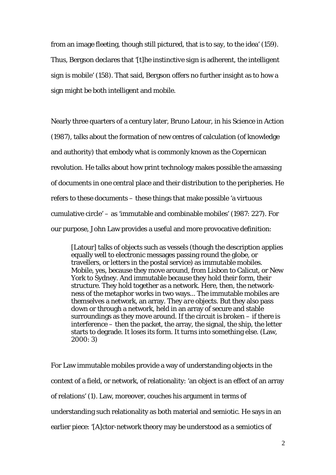from an image fleeting, though still pictured, that is to say, to the idea' (159). Thus, Bergson declares that '[*t*]*he instinctive sign is* adherent, *the intelligent sign is* mobile' (158). That said, Bergson offers no further insight as to how a sign might be both intelligent and mobile.

Nearly three quarters of a century later, Bruno Latour, in his *Science in Action* (1987), talks about the formation of new centres of calculation (of knowledge and authority) that embody what is commonly known as the Copernican revolution. He talks about how print technology makes possible the amassing of documents in one central place and their distribution to the peripheries. He refers to these documents – these things that make possible 'a virtuous cumulative circle' – as 'immutable and combinable mobiles' (1987: 227). For our purpose, John Law provides a useful and more provocative definition:

[Latour] talks of objects such as vessels (though the description applies equally well to electronic messages passing round the globe, or travellers, or letters in the postal service) as *immutable mobiles*. Mobile, yes, because they move around, from Lisbon to Calicut, or New York to Sydney. And immutable because they hold their form, their structure. They hold together as a network. Here, then, the networkness of the metaphor works in two ways... The immutable mobiles are *themselves* a network, an array. They *are* objects. But they also pass down or through a network, held in an array of secure and stable surroundings as they move around. If the circuit is broken – if there is interference – then the packet, the array, the signal, the ship, the letter starts to degrade. It loses its form. It turns into something else. (Law, 2000: 3)

For Law immutable mobiles provide a way of understanding objects in the context of a field, or network, of relationality: 'an object is an effect of an array of relations' (1). Law, moreover, couches his argument in terms of understanding such relationality as both material and semiotic. He says in an earlier piece: '[A]ctor-network theory may be understood as a *semiotics of*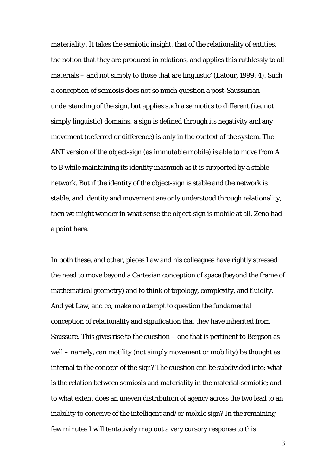*materiality*. It takes the semiotic insight, that of the relationality of entities, the notion that they are produced in relations, and applies this ruthlessly to all materials – and not simply to those that are linguistic' (Latour, 1999: 4). Such a conception of semiosis does not so much question a post-Saussurian understanding of the sign, but applies such a semiotics to different (i.e. not simply linguistic) domains: a sign is defined through its negativity and any movement (deferred or difference) is only in the context of the system. The ANT version of the object-sign (as immutable mobile) is able to move from A to B while maintaining its identity inasmuch as it is supported by a stable network. But if the identity of the object-sign is stable and the network is stable, and identity and movement are only understood through relationality, then we might wonder in what sense the object-sign is mobile at all. Zeno had a point here.

In both these, and other, pieces Law and his colleagues have rightly stressed the need to move beyond a Cartesian conception of space (beyond the frame of mathematical geometry) and to think of topology, complexity, and fluidity. And yet Law, and co, make no attempt to question the fundamental conception of relationality and signification that they have inherited from Saussure. This gives rise to the question – one that is pertinent to Bergson as well – namely, can motility (not simply movement or mobility) be thought as internal to the concept of the sign? The question can be subdivided into: what is the relation between semiosis and materiality in the material-semiotic; and to what extent does an uneven distribution of agency across the two lead to an inability to conceive of the intelligent and/or mobile sign? In the remaining few minutes I will tentatively map out a very cursory response to this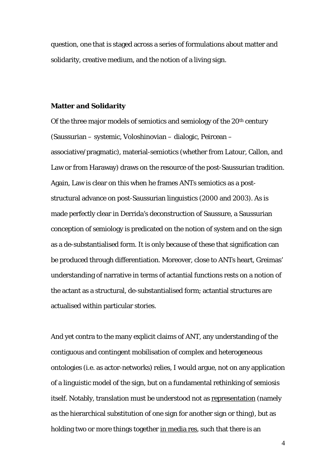question, one that is staged across a series of formulations about matter and solidarity, creative medium, and the notion of a living sign.

### **Matter and Solidarity**

Of the three major models of semiotics and semiology of the  $20<sup>th</sup>$  century (Saussurian – systemic, Voloshinovian – dialogic, Peircean – associative/pragmatic), material-semiotics (whether from Latour, Callon, and Law or from Haraway) draws on the resource of the post-Saussurian tradition. Again, Law is clear on this when he frames ANTs semiotics as a poststructural advance on post-Saussurian linguistics (2000 and 2003). As is made perfectly clear in Derrida's deconstruction of Saussure, a Saussurian conception of semiology is predicated on the notion of system and on the sign as a de-substantialised form. It is only because of these that signification can be produced through differentiation. Moreover, close to ANTs heart, Greimas' understanding of narrative in terms of actantial functions rests on a notion of the actant as a structural, de-substantialised form; actantial structures are actualised within particular stories.

And yet contra to the many explicit claims of ANT, any understanding of the contiguous and contingent mobilisation of complex and heterogeneous ontologies (i.e. as actor-networks) relies, I would argue, not on any application of a linguistic model of the sign, but on a fundamental rethinking of semiosis itself. Notably, translation must be understood not as representation (namely as the hierarchical substitution of one sign for another sign or thing), but as holding two or more things together in media res, such that there is an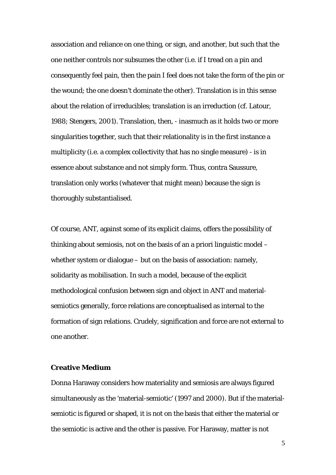association and reliance on one thing, or sign, and another, but such that the one neither controls nor subsumes the other (i.e. if I tread on a pin and consequently feel pain, then the pain I feel does not take the form of the pin or the wound; the one doesn't dominate the other). Translation is in this sense about the relation of irreducibles; translation is an irreduction (cf. Latour, 1988; Stengers, 2001). Translation, then, - inasmuch as it holds two or more singularities together, such that their relationality is in the first instance a multiplicity (i.e. a complex collectivity that has no single measure) - is in essence about substance and not simply form. Thus, contra Saussure, translation only works (whatever that might mean) because the sign is thoroughly substantialised.

Of course, ANT, against some of its explicit claims, offers the possibility of thinking about semiosis, not on the basis of an a priori linguistic model – whether system or dialogue – but on the basis of association: namely, solidarity as mobilisation. In such a model, because of the explicit methodological confusion between sign and object in ANT and materialsemiotics generally, force relations are conceptualised as internal to the formation of sign relations. Crudely, signification and force are not external to one another.

## **Creative Medium**

Donna Haraway considers how materiality and semiosis are always figured simultaneously as the 'material-semiotic' (1997 and 2000). But if the materialsemiotic is figured or shaped, it is not on the basis that either the material or the semiotic is active and the other is passive. For Haraway, matter is not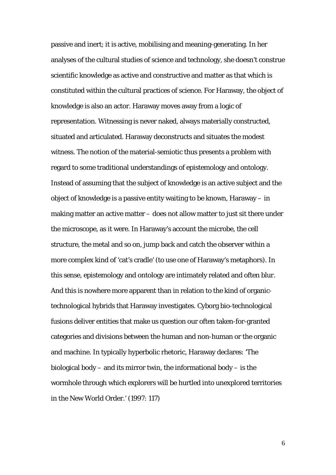passive and inert; it is active, mobilising and meaning-generating. In her analyses of the cultural studies of science and technology, she doesn't construe scientific knowledge as active and constructive and matter as that which is constituted within the cultural practices of science. For Haraway, the object of knowledge is also an actor. Haraway moves away from a logic of representation. Witnessing is never naked, always materially constructed, situated and articulated. Haraway deconstructs and situates the modest witness. The notion of the material-semiotic thus presents a problem with regard to some traditional understandings of epistemology and ontology. Instead of assuming that the subject of knowledge is an active subject and the object of knowledge is a passive entity waiting to be known, Haraway – in making matter an active matter – does not allow matter to just sit there under the microscope, as it were. In Haraway's account the microbe, the cell structure, the metal and so on, jump back and catch the observer within a more complex kind of 'cat's cradle' (to use one of Haraway's metaphors). In this sense, epistemology and ontology are intimately related and often blur. And this is nowhere more apparent than in relation to the kind of organictechnological hybrids that Haraway investigates. Cyborg bio-technological fusions deliver entities that make us question our often taken-for-granted categories and divisions between the human and non-human or the organic and machine. In typically hyperbolic rhetoric, Haraway declares: 'The biological body – and its mirror twin, the informational body – is the wormhole through which explorers will be hurtled into unexplored territories in the New World Order.' (1997: 117)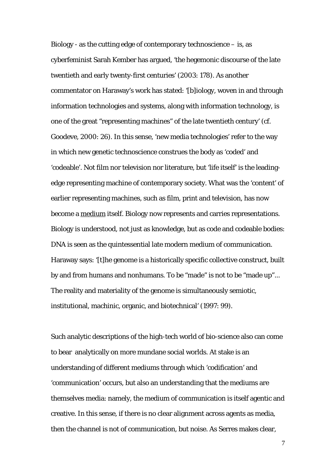Biology - as the cutting edge of contemporary technoscience  $-$  is, as cyberfeminist Sarah Kember has argued, '*the* hegemonic discourse of the late twentieth and early twenty-first centuries' (2003: 178). As another commentator on Haraway's work has stated: '[b]iology, woven in and through information technologies and systems, along with information technology, is one of the great "representing machines" of the late twentieth century' (cf. Goodeve, 2000: 26). In this sense, 'new media technologies' refer to the way in which new genetic technoscience construes the body as 'coded' and 'codeable'. Not film nor television nor literature, but 'life itself' is the leadingedge representing machine of contemporary society. What was the 'content' of earlier representing machines, such as film, print and television, has now become a medium itself. Biology now represents and carries representations. Biology is understood, not just as knowledge, but as code and codeable bodies: DNA is seen as the quintessential late modern medium of communication. Haraway says: '[t]he genome is a historically specific collective construct, built by and from humans and nonhumans. To be "made" is not to be "made up"... The reality and materiality of the genome is simultaneously semiotic, institutional, machinic, organic, and biotechnical' (1997: 99).

Such analytic descriptions of the high-tech world of bio-science also can come to bear analytically on more mundane social worlds. At stake is an understanding of different mediums through which 'codification' and 'communication' occurs, but also an understanding that the mediums are themselves media: namely, the medium of communication is itself agentic and creative. In this sense, if there is no clear alignment across agents as media, then the channel is not of communication, but noise. As Serres makes clear,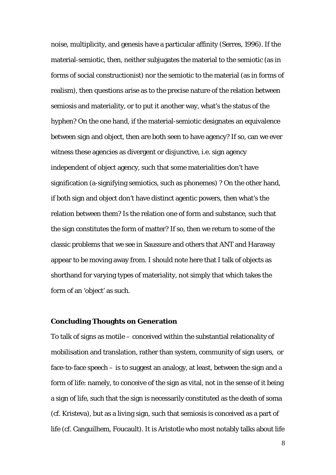noise, multiplicity, and genesis have a particular affinity (Serres, 1996). If the material-semiotic, then, neither subjugates the material to the semiotic (as in forms of social constructionist) nor the semiotic to the material (as in forms of realism), then questions arise as to the precise nature of the relation between semiosis and materiality, or to put it another way, what's the status of the hyphen? On the one hand, if the material-semiotic designates an equivalence between sign and object, then are both seen to have agency? If so, can we ever witness these agencies as divergent or disjunctive, i.e. sign agency independent of object agency, such that some materialities don't have signification (a-signifying semiotics, such as phonemes) ? On the other hand, if both sign and object don't have distinct agentic powers, then what's the relation between them? Is the relation one of form and substance, such that the sign constitutes the form of matter? If so, then we return to some of the classic problems that we see in Saussure and others that ANT and Haraway appear to be moving away from. I should note here that I talk of objects as shorthand for varying types of materiality, not simply that which takes the form of an 'object' as such.

### **Concluding Thoughts on Generation**

To talk of signs as motile – conceived within the substantial relationality of mobilisation and translation, rather than system, community of sign users, or face-to-face speech – is to suggest an analogy, at least, between the sign and a form of life: namely, to conceive of the sign as vital, not in the sense of it being a sign of life, such that the sign is necessarily constituted as the death of soma (cf. Kristeva), but as a living sign, such that semiosis is conceived as a part of life (cf. Canguilhem, Foucault). It is Aristotle who most notably talks about life